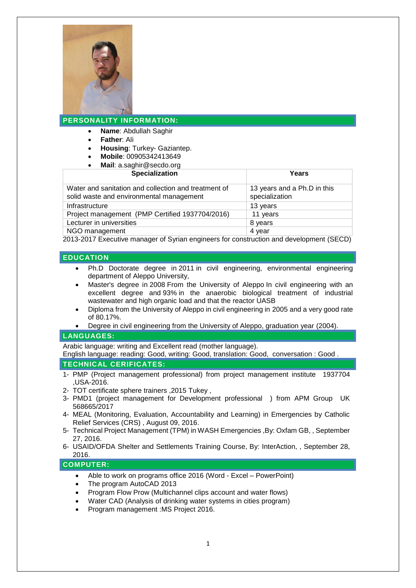

# **PERSONALITY INFORMATION:**

- **Name**: Abdullah Saghir
- **Father**: Ali
- **Housing**: Turkey- Gaziantep.
- **Mobile**: 00905342413649
- **Mail**: a.saghir@secdo.org

| Years                                         |
|-----------------------------------------------|
| 13 years and a Ph.D in this<br>specialization |
| 13 years                                      |
| 11 years                                      |
| 8 years                                       |
| 4 year                                        |
|                                               |

2013-2017 Executive manager of Syrian engineers for construction and development (SECD)

## **EDUCATION**

- Ph.D Doctorate degree in 2011 in civil engineering, environmental engineering department of Aleppo University,
- Master's degree in 2008 From the University of Aleppo In civil engineering with an excellent degree and 93% in the anaerobic biological treatment of industrial wastewater and high organic load and that the reactor UASB
- Diploma from the University of Aleppo in civil engineering in 2005 and a very good rate of 80.17%.
- Degree in civil engineering from the University of Aleppo, graduation year (2004).

## **LANGUAGES:**

Arabic language: writing and Excellent read (mother language).

English language: reading: Good, writing: Good, translation: Good, conversation : Good . **TECHNICAL CERIFICATES:**

- 1- PMP (Project management professional) from project management institute 1937704 ,USA-2016.
- 2- TOT certificate sphere trainers ,2015 Tukey ,
- 3- PMD1 (project management for Development professional ) from APM Group UK 568665/2017
- 4- MEAL (Monitoring, Evaluation, Accountability and Learning) in Emergencies by Catholic Relief Services (CRS) , August 09, 2016.
- 5- Technical Project Management (TPM) in WASH Emergencies ,By: Oxfam GB, , September 27, 2016.
- 6- USAID/OFDA Shelter and Settlements Training Course, By: InterAction, , September 28, 2016.

## **COMPUTER:**

- Able to work on programs office 2016 (Word Excel PowerPoint)
- The program AutoCAD 2013
- Program Flow Prow (Multichannel clips account and water flows)
- Water CAD (Analysis of drinking water systems in cities program)
- Program management :MS Project 2016.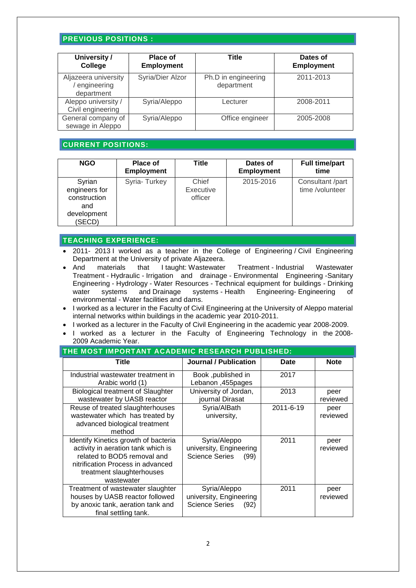## **PREVIOUS POSITIONS :**

| University /<br>College                           | <b>Place of</b><br><b>Employment</b> | Title                             | Dates of<br><b>Employment</b> |
|---------------------------------------------------|--------------------------------------|-----------------------------------|-------------------------------|
| Aljazeera university<br>engineering<br>department | Syria/Dier Alzor                     | Ph.D in engineering<br>department | 2011-2013                     |
| Aleppo university /<br>Civil engineering          | Syria/Aleppo                         | Lecturer                          | 2008-2011                     |
| General company of<br>sewage in Aleppo            | Syria/Aleppo                         | Office engineer                   | 2005-2008                     |

## **CURRENT POSITIONS:**

| <b>NGO</b>                                                              | Place of<br><b>Employment</b> | Title                         | Dates of<br><b>Employment</b> | <b>Full time/part</b><br>time       |
|-------------------------------------------------------------------------|-------------------------------|-------------------------------|-------------------------------|-------------------------------------|
| Syrian<br>engineers for<br>construction<br>and<br>development<br>(SECD) | Syria-Turkey                  | Chief<br>Executive<br>officer | 2015-2016                     | Consultant /part<br>time /volunteer |

#### **TEACHING EXPERIENCE:**

- 2011- 2013 I worked as a teacher in the College of Engineering / Civil Engineering Department at the University of private Aljazeera.
- And materials that I taught: Wastewater Treatment Industrial Wastewater Treatment - Hydraulic - Irrigation and drainage - Environmental Engineering - Sanitary Engineering - Hydrology - Water Resources - Technical equipment for buildings - Drinking water systems and Drainage systems - Health Engineering- Engineering of environmental - Water facilities and dams.
- I worked as a lecturer in the Faculty of Civil Engineering at the University of Aleppo material internal networks within buildings in the academic year 2010-2011.
- I worked as a lecturer in the Faculty of Civil Engineering in the academic year 2008-2009.
- I worked as a lecturer in the Faculty of Engineering Technology in the 2008- 2009 Academic Year.

| THE MOST IMPORTANT ACADEMIC RESEARCH PUBLISHED:                                                                                                                                           |                                                                          |             |                  |  |  |
|-------------------------------------------------------------------------------------------------------------------------------------------------------------------------------------------|--------------------------------------------------------------------------|-------------|------------------|--|--|
| Title                                                                                                                                                                                     | Journal / Publication                                                    | <b>Date</b> | <b>Note</b>      |  |  |
| Industrial wastewater treatment in<br>Arabic world (1)                                                                                                                                    | Book ,published in<br>Lebanon, 455pages                                  | 2017        |                  |  |  |
| <b>Biological treatment of Slaughter</b><br>wastewater by UASB reactor                                                                                                                    | University of Jordan,<br>journal Dirasat                                 | 2013        | peer<br>reviewed |  |  |
| Reuse of treated slaughterhouses<br>wastewater which has treated by<br>advanced biological treatment<br>method                                                                            | Syria/AlBath<br>university,                                              | 2011-6-19   | peer<br>reviewed |  |  |
| Identify Kinetics growth of bacteria<br>activity in aeration tank which is<br>related to BOD5 removal and<br>nitrification Process in advanced<br>treatment slaughterhouses<br>wastewater | Syria/Aleppo<br>university, Engineering<br><b>Science Series</b><br>(99) | 2011        | peer<br>reviewed |  |  |
| Treatment of wastewater slaughter<br>houses by UASB reactor followed<br>by anoxic tank, aeration tank and<br>final settling tank.                                                         | Syria/Aleppo<br>university, Engineering<br><b>Science Series</b><br>(92) | 2011        | peer<br>reviewed |  |  |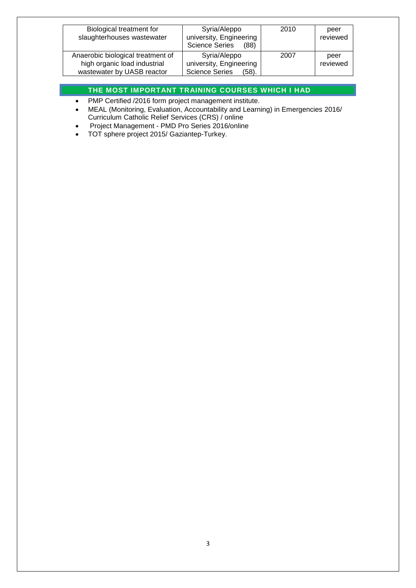| Biological treatment for<br>slaughterhouses wastewater                                          | Syria/Aleppo<br>university, Engineering<br><b>Science Series</b><br>(88)  | 2010 | peer<br>reviewed |
|-------------------------------------------------------------------------------------------------|---------------------------------------------------------------------------|------|------------------|
| Anaerobic biological treatment of<br>high organic load industrial<br>wastewater by UASB reactor | Syria/Aleppo<br>university, Engineering<br><b>Science Series</b><br>(58). | 2007 | peer<br>reviewed |

# **THE MOST IMPORTANT TRAINING COURSES WHICH I HAD**

- PMP Certified /2016 form project management institute.
- [MEAL \(Monitoring, Evaluation, Accountability and Learning\) in Emergencies](https://ccrs.pmi.org/Claim/details/18127601) 2016/ Curriculum Catholic Relief Services (CRS) / online
- Project Management PMD Pro Series 2016/online
- TOT sphere project 2015/ Gaziantep-Turkey.